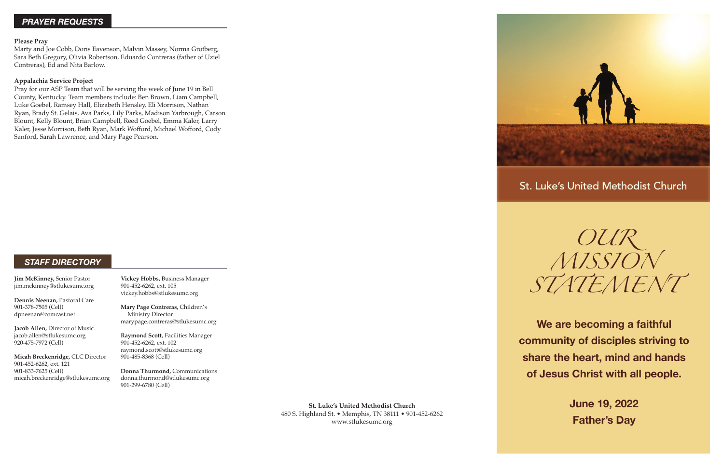**St. Luke's United Methodist Church** 480 S. Highland St. • Memphis, TN 38111 • 901-452-6262 www.stlukesumc.org



# St. Luke's United Methodist Church

*OUR MISSION STATEMENT*

**We are becoming a faithful community of disciples striving to share the heart, mind and hands of Jesus Christ with all people.**

> **June 19, 2022 Father's Day**

**Jim McKinney,** Senior Pastor jim.mckinney@stlukesumc.org

**Dennis Neenan,** Pastoral Care 901-378-7505 (Cell) dpneenan@comcast.net

**Jacob Allen,** Director of Music jacob.allen@stlukesumc.org 920-475-7972 (Cell)

**Micah Breckenridge,** CLC Director 901-452-6262, ext. 121 901-833-7625 (Cell) micah.breckenridge@stlukesumc.org **Vickey Hobbs,** Business Manager 901-452-6262, ext. 105 vickey.hobbs@stlukesumc.org

**Mary Page Contreras,** Children's Ministry Director marypage.contreras@stlukesumc.org

**Raymond Scott,** Facilities Manager 901-452-6262, ext. 102 raymond.scott@stlukesumc.org 901-485-8368 (Cell)

**Donna Thurmond,** Communications donna.thurmond@stlukesumc.org 901-299-6780 (Cell)

## *STAFF DIRECTORY*

## *PRAYER REQUESTS*

#### **Please Pray**

Marty and Joe Cobb, Doris Eavenson, Malvin Massey, Norma Grotberg, Sara Beth Gregory, Olivia Robertson, Eduardo Contreras (father of Uziel Contreras), Ed and Nita Barlow.

#### **Appalachia Service Project**

Pray for our ASP Team that will be serving the week of June 19 in Bell County, Kentucky. Team members include: Ben Brown, Liam Campbell, Luke Goebel, Ramsey Hall, Elizabeth Hensley, Eli Morrison, Nathan Ryan, Brady St. Gelais, Ava Parks, Lily Parks, Madison Yarbrough, Carson Blount, Kelly Blount, Brian Campbell, Reed Goebel, Emma Kaler, Larry Kaler, Jesse Morrison, Beth Ryan, Mark Wofford, Michael Wofford, Cody Sanford, Sarah Lawrence, and Mary Page Pearson.